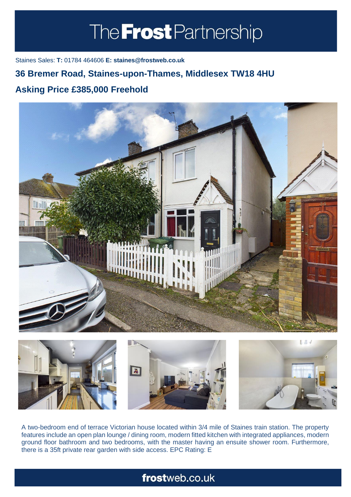# The **Frost** Partnership

Staines Sales: **T:** 01784 464606 **E: staines@frostweb.co.uk**

### **36 Bremer Road, Staines-upon-Thames, Middlesex TW18 4HU**

#### **Asking Price £385,000 Freehold (Property.Lettings.RentQual == "PA" ? "Rent on application" :**





A two-bedroom end of terrace Victorian house located within 3/4 mile of Staines train station. The property features include an open plan lounge / dining room, modern fitted kitchen with integrated appliances, modern ground floor bathroom and two bedrooms, with the master having an ensuite shower room. Furthermore, there is a 35ft private rear garden with side access. EPC Rating: E

## frostweb.co.uk